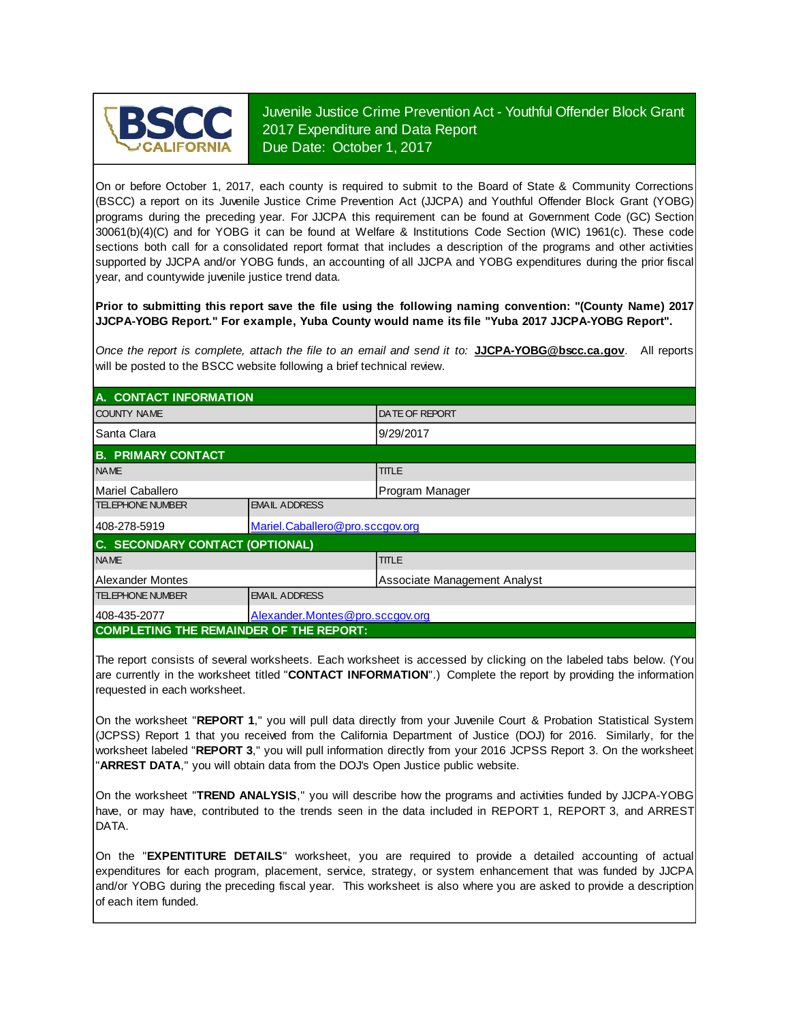

Juvenile Justice Crime Prevention Act - Youthful Offender Block Grant 2017 Expenditure and Data Report Due Date: October 1, 2017

On or before October 1, 2017, each county is required to submit to the Board of State & Community Corrections (BSCC) <sup>a</sup> report on its Juvenile Justice Crime Prevention Act (JJCPA) and Youthful Offender Block Grant (YOBG) programs during the preceding year. For JJCPA this requirement can be found at Government Code (GC) Section 30061(b)(4)(C) and for YOBG it can be found at Welfare & Institutions Code Section (WIC) 1961(c). These code sections both call for <sup>a</sup> consolidated report format that includes <sup>a</sup> description of the programs and other activities supported by JJCPA and/or YOBG funds, an accounting of all JJCPA and YOBG expenditures during the prior fiscal year, and countywide juvenile justice trend data.

**Prior to submitting this report save the file using the following naming convention: "(County Name) 2017 JJCPA-YOBG Report." For example, Yuba County would name its file "Yuba 2017 JJCPA-YOBG Report".**

*Once the report is complete, attach the file t o an email and send it to:* **JJCPA-YOBG@bscc.ca.gov**. All reports will be posted to the BSCC website following a brief technical review.

| A. CONTACT INFORMATION                          |                                 |                              |  |  |  |  |
|-------------------------------------------------|---------------------------------|------------------------------|--|--|--|--|
| <b>COUNTY NAME</b>                              |                                 | <b>DATE OF REPORT</b>        |  |  |  |  |
| <b>Santa Clara</b>                              |                                 | 9/29/2017                    |  |  |  |  |
| <b>B. PRIMARY CONTACT</b>                       |                                 |                              |  |  |  |  |
| <b>NAME</b>                                     |                                 | <b>TITLE</b>                 |  |  |  |  |
| Mariel Caballero                                |                                 | Program Manager              |  |  |  |  |
| <b>TELEPHONE NUMBER</b>                         | <b>EMAIL ADDRESS</b>            |                              |  |  |  |  |
| 408-278-5919<br>Mariel.Caballero@pro.sccgov.org |                                 |                              |  |  |  |  |
| C. SECONDARY CONTACT (OPTIONAL)                 |                                 |                              |  |  |  |  |
| <b>NAME</b>                                     |                                 | <b>TITLE</b>                 |  |  |  |  |
| Alexander Montes                                |                                 | Associate Management Analyst |  |  |  |  |
| <b>TELEPHONE NUMBER</b>                         | <b>EMAIL ADDRESS</b>            |                              |  |  |  |  |
| 408-435-2077                                    | Alexander.Montes@pro.sccgov.org |                              |  |  |  |  |
| <b>COMPLETING THE REMAINDER OF THE REPORT:</b>  |                                 |                              |  |  |  |  |

The report consists of several worksheets. Each worksheet is accessed by clicking on the labeled tabs below. (You are currently in the worksheet titled "**CONTACT INFORMATION**".) Complete the report by providing the information requested in each worksheet.

On the worksheet "REPORT 1," you will pull data directly from your Juvenile Court & Probation Statistical System (JCPSS) Report 1 that you received from the California Department of Justice (DOJ) for 2016. Similarly, for the worksheet labeled "REPORT 3," you will pull information directly from your 2016 JCPSS Report 3. On the worksheet "**ARREST DATA**," you will obtain data from the DOJ's Open Justice public website.

On the worksheet "**TREND ANALYSIS**, " you will describe how the programs and activities funded by JJCPA-YOBG have, or may have, contributed to the trends seen in the data included in REPORT 1, REPORT 3, and ARREST DATA.

On the "EXPENTITURE DETAILS" worksheet, you are required to provide a detailed accounting of actual expenditures for each program, placement, service, strategy, or system enhancement that was funded by JJCPA and/or YOBG during the preceding fiscal year. This worksheet is also where you are asked to provide a description of each item funded.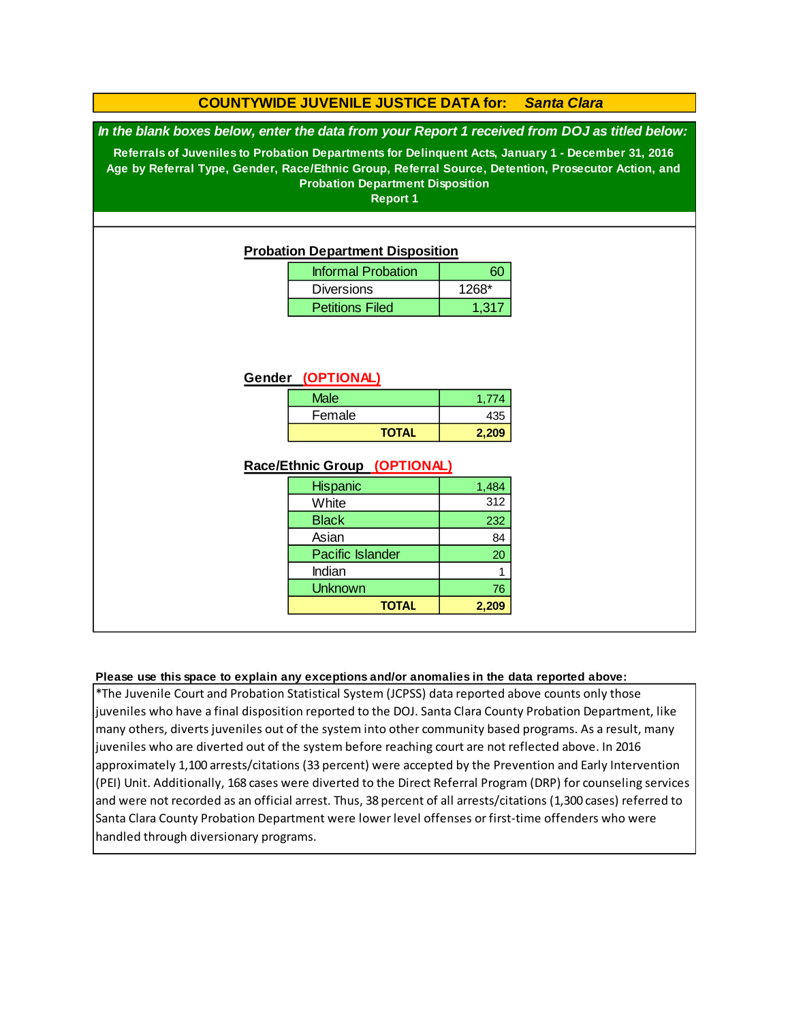## **COUNTYWIDE JUVENILE JUSTICE DATA for:** *Santa Clara*

*In the blank boxes below, enter the data from your Report 1 received from DOJ as titled below:*

**Referrals of Juveniles to Probation Departments for Delinquent Acts, January 1 - December 31, 2016 Age by Referral Type, Gender, Race/Ethnic Group, Referral Source, Detention, Prosecutor Action, and Probation Department Disposition**

**Report 1**

### **Probation Department Disposition**

| <b>Informal Probation</b> | ണ       |
|---------------------------|---------|
| <b>Diversions</b>         | $1268*$ |
| <b>Petitions Filed</b>    | 1.317   |

### **Gender (OPTIONAL)**

| <b>Male</b>  | 1.774 |
|--------------|-------|
| Female       | 435   |
| <b>TOTAL</b> | 2,209 |

### **Race/Ethnic Group (OPTIONAL)**

| <b>Hispanic</b>         | 1,484 |
|-------------------------|-------|
| White                   | 312   |
| <b>Black</b>            | 232   |
| Asian                   | 84    |
| <b>Pacific Islander</b> | 20    |
| Indian                  |       |
| <b>Unknown</b>          | 76    |
| <b>TOTAL</b>            | 2,209 |

### **Please use this space to explain any exceptions and/or anomalies in the data reported above:**

\*The Juvenile Court and Probation Statistical System (JCPSS) data reported above counts only those juveniles who have a final disposition reported to the DOJ. Santa Clara County Probation Department, like many others, diverts juveniles out of the system into other community based programs. As a result, many juveniles who are diverted out of the system before reaching court are not reflected above. In 2016 approximately 1,100 arrests/citations (33 percent) were accepted by the Prevention and Early Intervention (PEI) Unit. Additionally, 168 cases were diverted to the Direct Referral Program (DRP) for counseling services and were not recorded as an official arrest. Thus, 38 percent of all arrests/citations (1,300 cases) referred to Santa Clara County Probation Department were lower level offenses or first-time offenders who were handled through diversionary programs.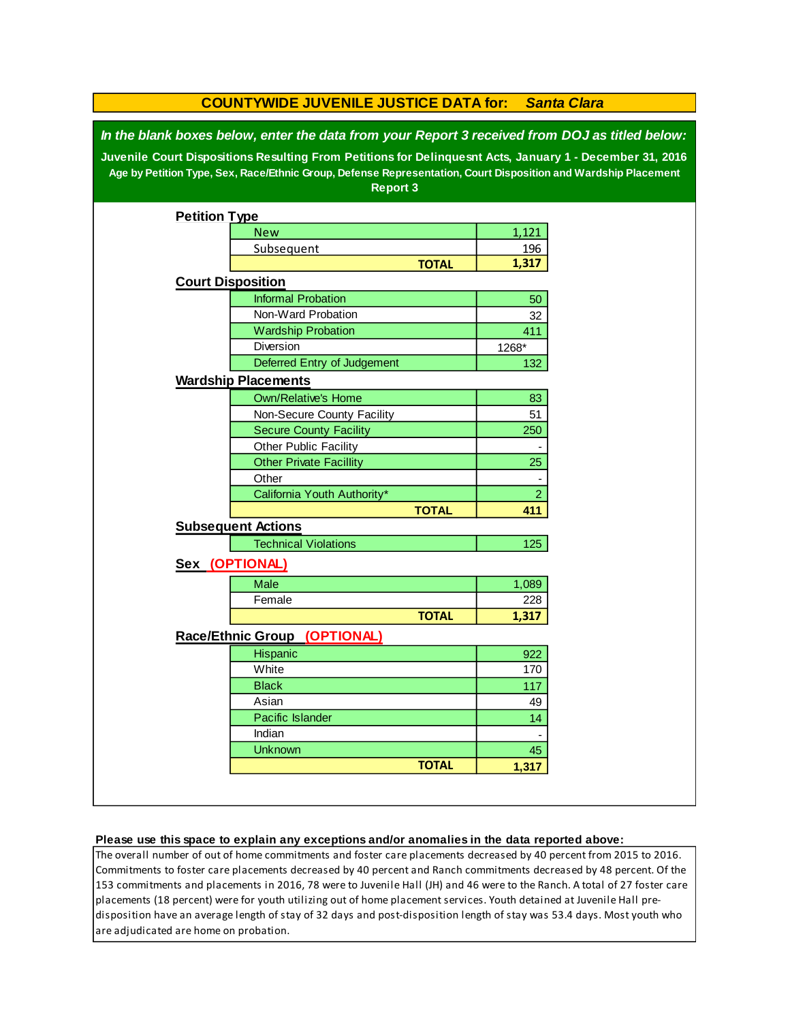| <b>COUNTYWIDE JUVENILE JUSTICE DATA for:</b><br><b>Santa Clara</b>                                                                                                                                                                                                                                                                              |                                        |              |                |  |  |  |  |
|-------------------------------------------------------------------------------------------------------------------------------------------------------------------------------------------------------------------------------------------------------------------------------------------------------------------------------------------------|----------------------------------------|--------------|----------------|--|--|--|--|
| In the blank boxes below, enter the data from your Report 3 received from DOJ as titled below:<br>Juvenile Court Dispositions Resulting From Petitions for Delinquesnt Acts, January 1 - December 31, 2016<br>Age by Petition Type, Sex, Race/Ethnic Group, Defense Representation, Court Disposition and Wardship Placement<br><b>Report 3</b> |                                        |              |                |  |  |  |  |
| <b>Petition Type</b>                                                                                                                                                                                                                                                                                                                            |                                        |              |                |  |  |  |  |
|                                                                                                                                                                                                                                                                                                                                                 | <b>New</b>                             |              | 1,121          |  |  |  |  |
|                                                                                                                                                                                                                                                                                                                                                 | Subsequent                             |              | 196            |  |  |  |  |
|                                                                                                                                                                                                                                                                                                                                                 |                                        | <b>TOTAL</b> | 1,317          |  |  |  |  |
| <b>Court Disposition</b>                                                                                                                                                                                                                                                                                                                        |                                        |              |                |  |  |  |  |
|                                                                                                                                                                                                                                                                                                                                                 | <b>Informal Probation</b>              |              | 50             |  |  |  |  |
|                                                                                                                                                                                                                                                                                                                                                 | Non-Ward Probation                     |              | 32             |  |  |  |  |
|                                                                                                                                                                                                                                                                                                                                                 | <b>Wardship Probation</b>              |              | 411            |  |  |  |  |
|                                                                                                                                                                                                                                                                                                                                                 | Diversion                              |              | 1268*          |  |  |  |  |
|                                                                                                                                                                                                                                                                                                                                                 | Deferred Entry of Judgement            |              | 132            |  |  |  |  |
|                                                                                                                                                                                                                                                                                                                                                 | <b>Wardship Placements</b>             |              |                |  |  |  |  |
|                                                                                                                                                                                                                                                                                                                                                 | <b>Own/Relative's Home</b>             |              | 83             |  |  |  |  |
|                                                                                                                                                                                                                                                                                                                                                 | Non-Secure County Facility             |              | 51             |  |  |  |  |
|                                                                                                                                                                                                                                                                                                                                                 | <b>Secure County Facility</b>          |              | 250            |  |  |  |  |
|                                                                                                                                                                                                                                                                                                                                                 | Other Public Facility                  |              |                |  |  |  |  |
|                                                                                                                                                                                                                                                                                                                                                 | <b>Other Private Facillity</b>         |              | 25             |  |  |  |  |
|                                                                                                                                                                                                                                                                                                                                                 | Other                                  |              |                |  |  |  |  |
|                                                                                                                                                                                                                                                                                                                                                 | California Youth Authority*            |              | $\overline{2}$ |  |  |  |  |
|                                                                                                                                                                                                                                                                                                                                                 |                                        | <b>TOTAL</b> | 411            |  |  |  |  |
|                                                                                                                                                                                                                                                                                                                                                 | <b>Subsequent Actions</b>              |              |                |  |  |  |  |
|                                                                                                                                                                                                                                                                                                                                                 | <b>Technical Violations</b>            |              | 125            |  |  |  |  |
|                                                                                                                                                                                                                                                                                                                                                 | Sex (OPTIONAL)                         |              |                |  |  |  |  |
|                                                                                                                                                                                                                                                                                                                                                 | Male                                   |              | 1,089          |  |  |  |  |
|                                                                                                                                                                                                                                                                                                                                                 | Female                                 |              | 228            |  |  |  |  |
|                                                                                                                                                                                                                                                                                                                                                 |                                        | <b>TOTAL</b> | 1,317          |  |  |  |  |
|                                                                                                                                                                                                                                                                                                                                                 | <b>Race/Ethnic Group</b><br>(OPTIONAL) |              |                |  |  |  |  |
|                                                                                                                                                                                                                                                                                                                                                 | Hispanic                               |              | 922            |  |  |  |  |
|                                                                                                                                                                                                                                                                                                                                                 | White                                  |              | 170            |  |  |  |  |
|                                                                                                                                                                                                                                                                                                                                                 | <b>Black</b>                           |              | 117            |  |  |  |  |
|                                                                                                                                                                                                                                                                                                                                                 | Asian                                  |              | 49             |  |  |  |  |
|                                                                                                                                                                                                                                                                                                                                                 | Pacific Islander                       |              | 14             |  |  |  |  |
|                                                                                                                                                                                                                                                                                                                                                 | Indian                                 |              |                |  |  |  |  |
|                                                                                                                                                                                                                                                                                                                                                 | <b>Unknown</b>                         |              | 45             |  |  |  |  |
|                                                                                                                                                                                                                                                                                                                                                 |                                        | <b>TOTAL</b> | 1,317          |  |  |  |  |
|                                                                                                                                                                                                                                                                                                                                                 |                                        |              |                |  |  |  |  |

#### **Please use this space to explain any exceptions and/or anomalies in the data reported above:**

The overall number of out of home commitments and foster care placements decreased by 40 percent from 2015 to 2016. Commitments to foster care placements decreased by 40 percent and Ranch commitments decreased by 48 percent. Of the 153 commitments and placements in 2016, 78 were to Juvenile Hall (JH) and 46 were to the Ranch. A total of 27 foster care placements (18 percent) were for youth utilizing out of home placement services. Youth detained at Juvenile Hall predisposition have an average length of stay of 32 days and post-disposition length of stay was 53.4 days. Most youth who are adjudicated are home on probation.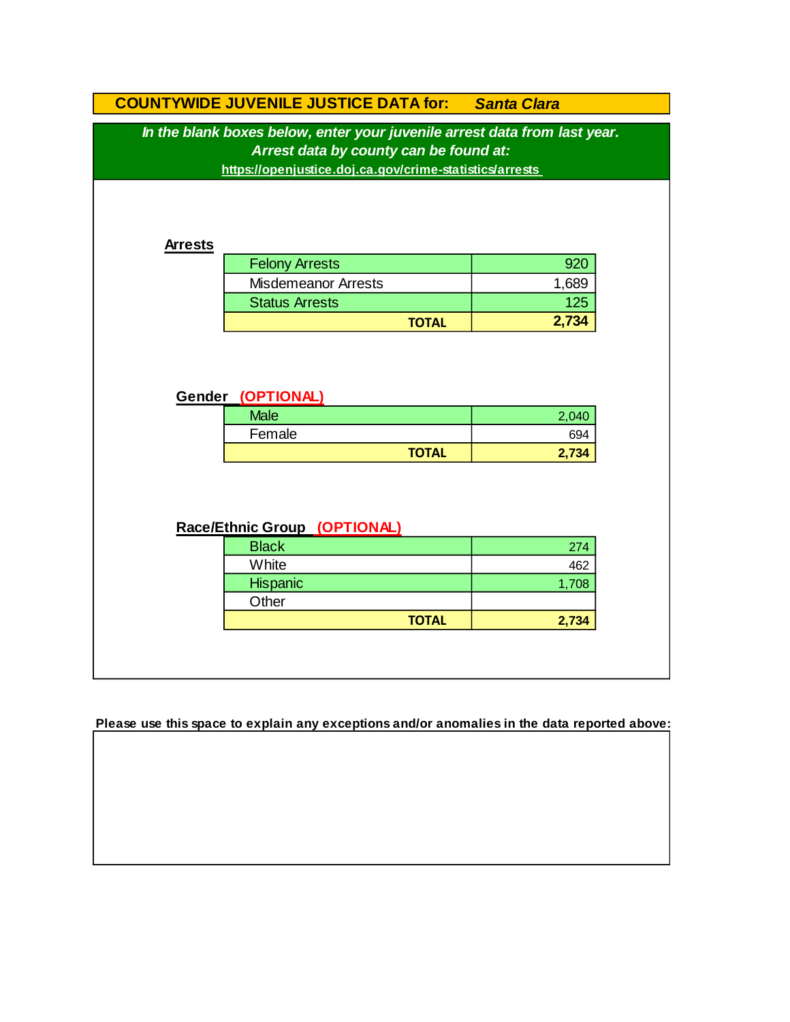| In the blank boxes below, enter your juvenile arrest data from last year.<br>Arrest data by county can be found at:<br>https://openjustice.doj.ca.gov/crime-statistics/arrests<br><b>Arrests</b> |       |
|--------------------------------------------------------------------------------------------------------------------------------------------------------------------------------------------------|-------|
|                                                                                                                                                                                                  |       |
|                                                                                                                                                                                                  |       |
|                                                                                                                                                                                                  |       |
|                                                                                                                                                                                                  |       |
|                                                                                                                                                                                                  |       |
|                                                                                                                                                                                                  |       |
| <b>Felony Arrests</b>                                                                                                                                                                            | 920   |
| <b>Misdemeanor Arrests</b>                                                                                                                                                                       | 1,689 |
| <b>Status Arrests</b>                                                                                                                                                                            | 125   |
| <b>TOTAL</b>                                                                                                                                                                                     | 2,734 |
| <b>Male</b>                                                                                                                                                                                      | 2,040 |
| Gender (OPTIONAL)                                                                                                                                                                                |       |
| Female                                                                                                                                                                                           | 694   |
| <b>TOTAL</b>                                                                                                                                                                                     | 2,734 |
|                                                                                                                                                                                                  |       |
|                                                                                                                                                                                                  |       |
|                                                                                                                                                                                                  |       |
| Race/Ethnic Group (OPTIONAL)                                                                                                                                                                     |       |
| <b>Black</b>                                                                                                                                                                                     | 274   |
| White                                                                                                                                                                                            | 462   |
| Hispanic                                                                                                                                                                                         | 1,708 |
|                                                                                                                                                                                                  |       |
| Other<br><b>TOTAL</b>                                                                                                                                                                            | 2,734 |

**Please use this space to explain any exceptions and/or anomalies in the data reported above:**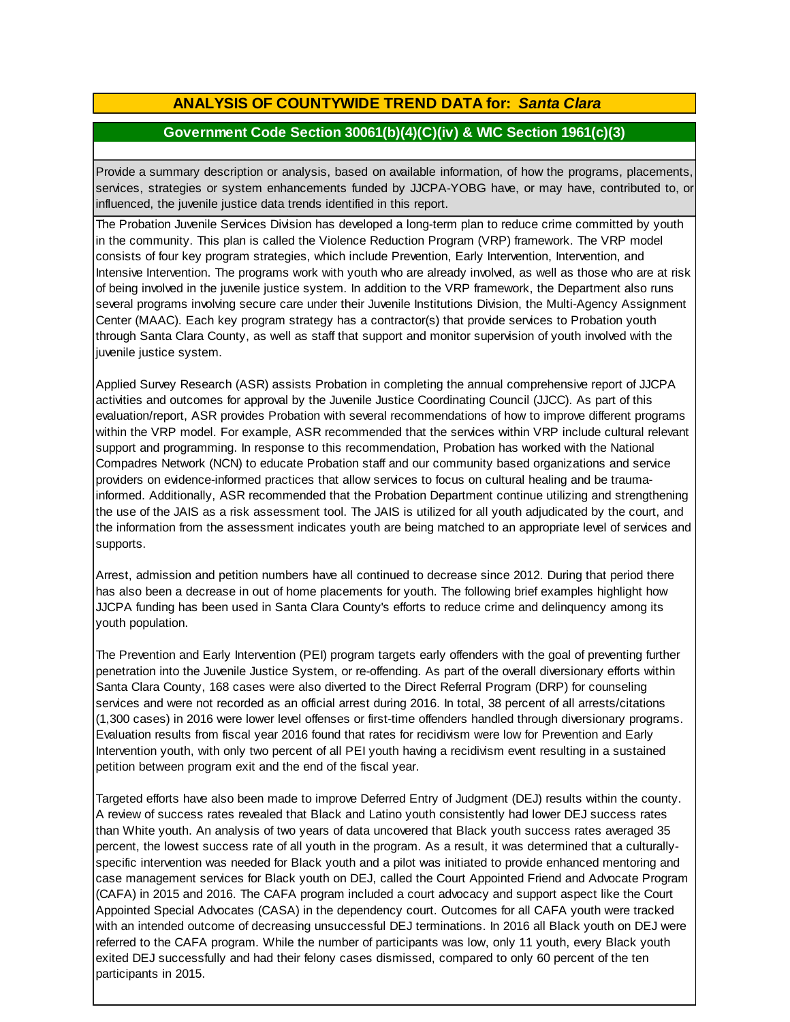# **ANALYSIS OF COUNTYWIDE TREND DATA for:** *Santa Clara*

## **Government Code Section 30061(b)(4)(C)(iv) & WIC Section 1961(c)(3)**

Provide <sup>a</sup> summary description or analysis, based on available information, of how the programs, placements, services, strategies or system enhancements funded by JJCPA-YOBG have, or may have, contributed to, or influenced, the juvenile justice data trends identified in this report.

The Probation Juvenile Services Division has developed a long-term plan to reduce crime committed by youth in the community. This plan is called the Violence Reduction Program (VRP) framework. The VRP model consists of four key program strategies, which include Prevention, Early Intervention, Intervention, and Intensive Intervention. The programs work with youth who are already involved, as well as those who are at risk of being involved in the juvenile justice system. In addition to the VRP framework, the Department also runs several programs involving secure care under their Juvenile Institutions Division, the Multi-Agency Assignment Center (MAAC). Each key program strategy has a contractor(s) that provide services to Probation youth through Santa Clara County, as well as staff that support and monitor supervision of youth involved with the juvenile justice system.

Applied Survey Research (ASR) assists Probation in completing the annual comprehensive report of JJCPA activities and outcomes for approval by the Juvenile Justice Coordinating Council (JJCC). As part of this evaluation/report, ASR provides Probation with several recommendations of how to improve different programs within the VRP model. For example, ASR recommended that the services within VRP include cultural relevant support and programming. In response to this recommendation, Probation has worked with the National Compadres Network (NCN) to educate Probation staff and our community based organizations and service providers on evidence-informed practices that allow services to focus on cultural healing and be traumainformed. Additionally, ASR recommended that the Probation Department continue utilizing and strengthening the use of the JAIS as a risk assessment tool. The JAIS is utilized for all youth adjudicated by the court, and the information from the assessment indicates youth are being matched to an appropriate level of services and supports.

Arrest, admission and petition numbers have all continued to decrease since 2012. During that period there has also been a decrease in out of home placements for youth. The following brief examples highlight how JJCPA funding has been used in Santa Clara County's efforts to reduce crime and delinquency among its youth population.

The Prevention and Early Intervention (PEI) program targets early offenders with the goal of preventing further penetration into the Juvenile Justice System, or re-offending. As part of the overall diversionary efforts within Santa Clara County, 168 cases were also diverted to the Direct Referral Program (DRP) for counseling services and were not recorded as an official arrest during 2016. In total, 38 percent of all arrests/citations (1,300 cases) in 2016 were lower level offenses or first-time offenders handled through diversionary programs. Evaluation results from fiscal year 2016 found that rates for recidivism were low for Prevention and Early Intervention youth, with only two percent of all PEI youth having a recidivism event resulting in a sustained petition between program exit and the end of the fiscal year.

Targeted efforts have also been made to improve Deferred Entry of Judgment (DEJ) results within the county. A review of success rates revealed that Black and Latino youth consistently had lower DEJ success rates than White youth. An analysis of two years of data uncovered that Black youth success rates averaged 35 percent, the lowest success rate of all youth in the program. As a result, it was determined that a culturallyspecific intervention was needed for Black youth and a pilot was initiated to provide enhanced mentoring and case management services for Black youth on DEJ, called the Court Appointed Friend and Advocate Program (CAFA) in 2015 and 2016. The CAFA program included a court advocacy and support aspect like the Court Appointed Special Advocates (CASA) in the dependency court. Outcomes for all CAFA youth were tracked with an intended outcome of decreasing unsuccessful DEJ terminations. In 2016 all Black youth on DEJ were referred to the CAFA program. While the number of participants was low, only 11 youth, every Black youth exited DEJ successfully and had their felony cases dismissed, compared to only 60 percent of the ten participants in 2015.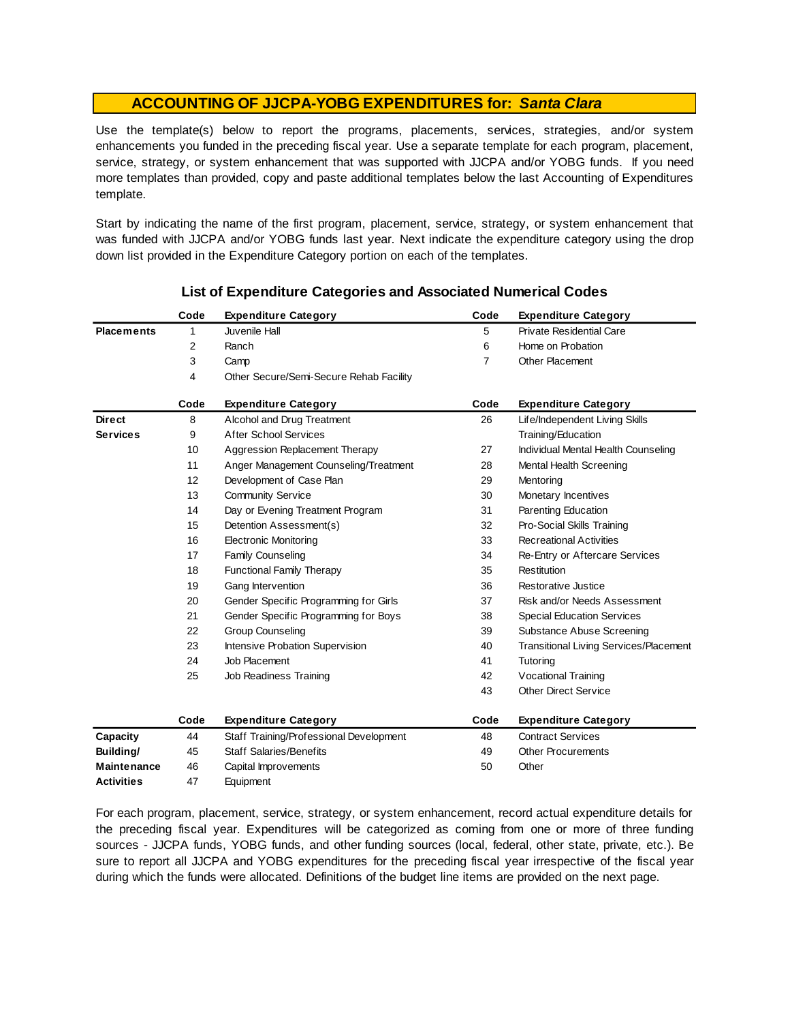Use the template(s) below to report the programs, placements, services, strategies, and/or system enhancements you funded in the preceding fiscal year. Use <sup>a</sup> separate template for each program, placement, service, strategy, or system enhancement that was supported with JJCPA and/or YOBG funds. If you need more templates than provided, copy and paste additional templates below the last Accounting of Expenditures template.

Start by indicating the name of the first program, placement, service, strategy, or system enhancement that was funded with JJCPA and/or YOBG funds last year. Next indicate the expenditure category using the drop down list provided in the Expenditure Category portion on each of the templates.

|                    | Code | <b>Expenditure Category</b>             | Code           | <b>Expenditure Category</b>                   |
|--------------------|------|-----------------------------------------|----------------|-----------------------------------------------|
| <b>Placements</b>  | 1    | Juvenile Hall                           | 5              | <b>Private Residential Care</b>               |
|                    | 2    | Ranch                                   | 6              | Home on Probation                             |
|                    | 3    | Camp                                    | $\overline{7}$ | Other Placement                               |
|                    | 4    | Other Secure/Semi-Secure Rehab Facility |                |                                               |
|                    | Code | <b>Expenditure Category</b>             | Code           | <b>Expenditure Category</b>                   |
| <b>Direct</b>      | 8    | Alcohol and Drug Treatment              | 26             | Life/Independent Living Skills                |
| <b>Services</b>    | 9    | <b>After School Services</b>            |                | Training/Education                            |
|                    | 10   | Aggression Replacement Therapy          | 27             | Individual Mental Health Counseling           |
|                    | 11   | Anger Management Counseling/Treatment   | 28             | Mental Health Screening                       |
|                    | 12   | Development of Case Plan                | 29             | Mentoring                                     |
|                    | 13   | <b>Community Service</b>                | 30             | Monetary Incentives                           |
|                    | 14   | Day or Evening Treatment Program        | 31             | Parenting Education                           |
|                    | 15   | Detention Assessment(s)                 | 32             | Pro-Social Skills Training                    |
|                    | 16   | <b>Electronic Monitoring</b>            | 33             | <b>Recreational Activities</b>                |
|                    | 17   | <b>Family Counseling</b>                | 34             | Re-Entry or Aftercare Services                |
|                    | 18   | <b>Functional Family Therapy</b>        | 35             | Restitution                                   |
|                    | 19   | Gang Intervention                       | 36             | Restorative Justice                           |
|                    | 20   | Gender Specific Programming for Girls   | 37             | Risk and/or Needs Assessment                  |
|                    | 21   | Gender Specific Programming for Boys    | 38             | <b>Special Education Services</b>             |
|                    | 22   | <b>Group Counseling</b>                 | 39             | Substance Abuse Screening                     |
|                    | 23   | Intensive Probation Supervision         | 40             | <b>Transitional Living Services/Placement</b> |
|                    | 24   | Job Placement                           | 41             | Tutoring                                      |
|                    | 25   | Job Readiness Training                  | 42             | Vocational Training                           |
|                    |      |                                         | 43             | <b>Other Direct Service</b>                   |
|                    | Code | <b>Expenditure Category</b>             | Code           | <b>Expenditure Category</b>                   |
| Capacity           | 44   | Staff Training/Professional Development | 48             | <b>Contract Services</b>                      |
| Building/          | 45   | <b>Staff Salaries/Benefits</b>          | 49             | <b>Other Procurements</b>                     |
| <b>Maintenance</b> | 46   | Capital Improvements                    | 50             | Other                                         |
| <b>Activities</b>  | 47   | Equipment                               |                |                                               |

## **List of Expenditure Categories and Associated Numerical Codes**

For each program, placement, service, strategy, or system enhancement, record actual expenditure details for the preceding fiscal year. Expenditures will be categorized as coming from one or more of three funding sources - JJCPA funds, YOBG funds, and other funding sources (local, federal, other state, private, etc.). Be sure to report all JJCPA and YOBG expenditures for the preceding fiscal year irrespective of the fiscal year during which the funds were allocated. Definitions of the budget line items are provided on the next page.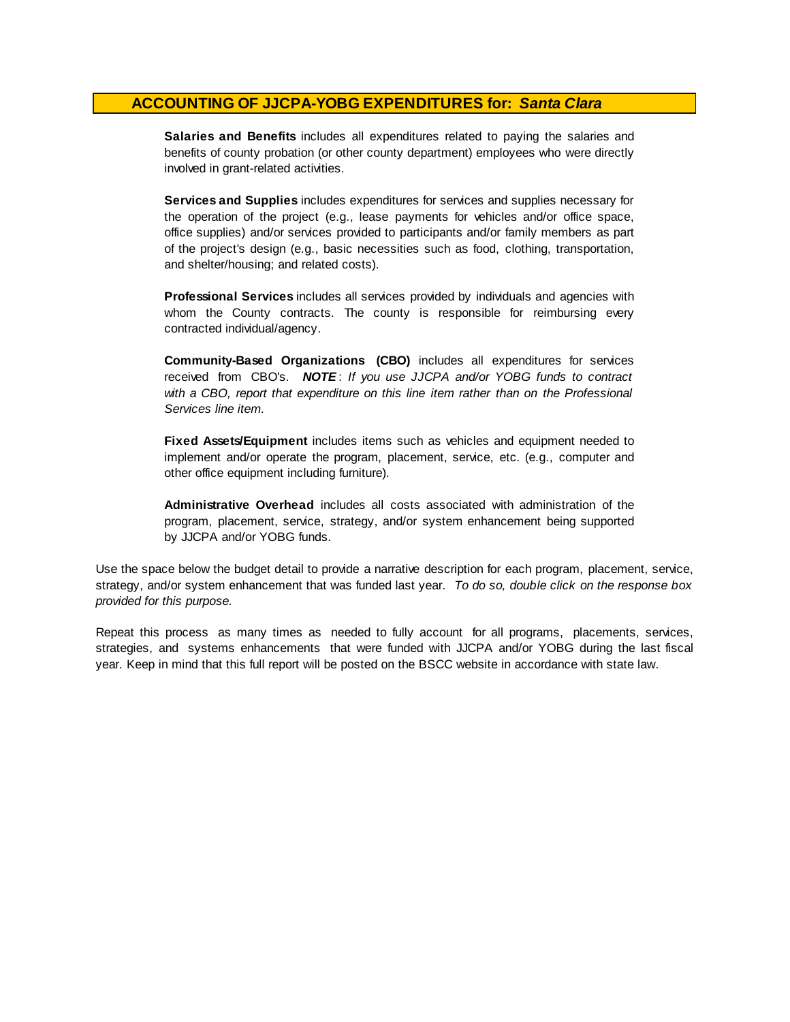**Salaries and Benefits** includes all expenditures related to paying the salaries and benefits of county probation (or other county department) employees who were directly involved in grant-related activities.

**Services and Supplies** includes expenditures for services and supplies necessary for the operation of the project (e.g., lease payments for vehicles and/or office space, office supplies) and/or services provided to participants and/or family members as part of the project's design (e.g., basic necessities such as food, clothing, transportation, and shelter/housing; and related costs).

**Professional Services** includes all services provided by individuals and agencies with whom the County contracts. The county is responsible for reimbursing every contracted individual/agency.

**Community-Based Organizations (CBO)** includes all expenditures for services received from CBO's. *NOTE* : *I f you use JJCPA and/or YOBG funds t o contract with <sup>a</sup> CBO, report that expenditure on this line item rather than on the Professional Services line item.*

**Fixed Assets/Equipment** includes items such as vehicles and equipment needed to implement and/or operate the program, placement, service, etc. (e.g., computer and other office equipment including furniture).

**Administrative Overhead** includes all costs associated with administration of the program, placement, service, strategy, and/or system enhancement being supported by JJCPA and/or YOBG funds.

Use the space below the budget detail to provide a narrative description for each program, placement, service, strategy, and/or system enhancement that was funded last year. *To do so, double click on the response box provided for this purpose.* 

Repeat this process as many times as needed to fully account for all programs, placements, services, strategies, and systems enhancements that were funded with JJCPA and/or YOBG during the last fiscal year. Keep in mind that this full report will be posted on the BSCC website in accordance with state law.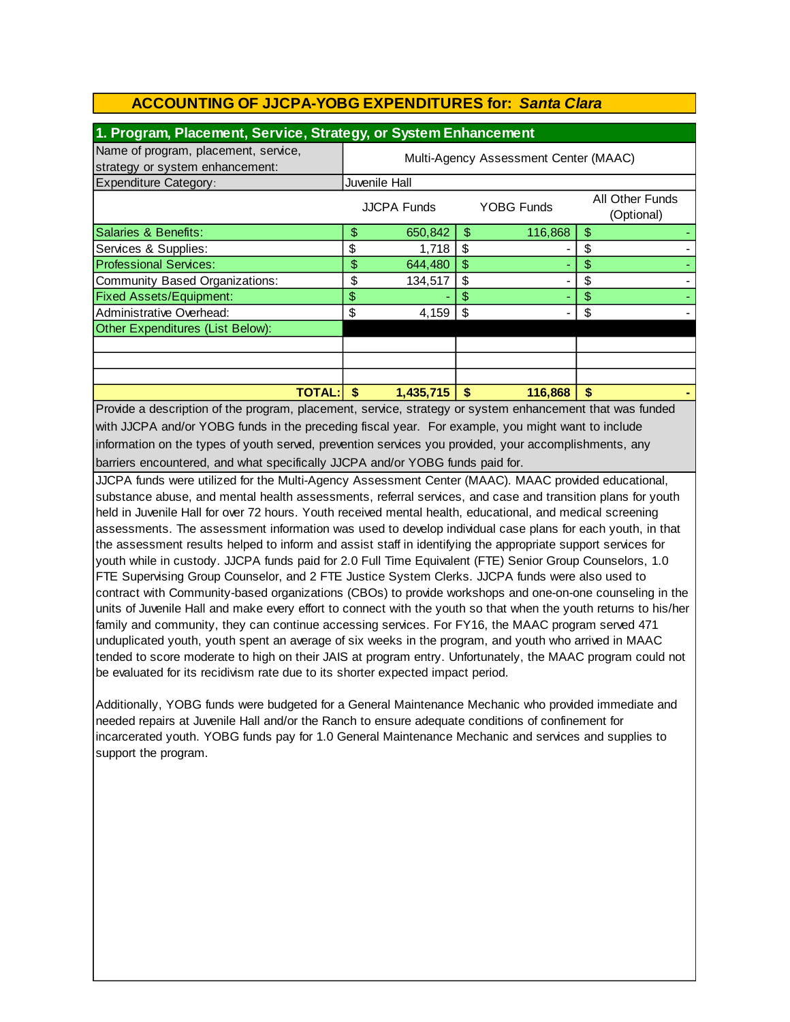| 1. Program, Placement, Service, Strategy, or System Enhancement         |                                       |                    |    |            |                               |  |
|-------------------------------------------------------------------------|---------------------------------------|--------------------|----|------------|-------------------------------|--|
| Name of program, placement, service,<br>strategy or system enhancement: | Multi-Agency Assessment Center (MAAC) |                    |    |            |                               |  |
| <b>Expenditure Category:</b>                                            | Juvenile Hall                         |                    |    |            |                               |  |
|                                                                         |                                       | <b>JJCPA Funds</b> |    | YOBG Funds | All Other Funds<br>(Optional) |  |
| Salaries & Benefits:                                                    | \$                                    | 650,842            | S  | 116,868    | \$                            |  |
| Services & Supplies:                                                    | \$                                    | 1,718              | S  |            | \$                            |  |
| <b>Professional Services:</b>                                           | \$                                    | 644,480            | \$ |            | \$                            |  |
| Community Based Organizations:                                          | \$                                    | 134,517            | \$ |            | \$                            |  |
| <b>Fixed Assets/Equipment:</b>                                          | \$                                    |                    | S  |            |                               |  |
| Administrative Overhead:                                                | \$                                    | 4,159              | \$ |            | \$                            |  |
| Other Expenditures (List Below):                                        |                                       |                    |    |            |                               |  |
|                                                                         |                                       |                    |    |            |                               |  |
|                                                                         |                                       |                    |    |            |                               |  |
|                                                                         |                                       |                    |    |            |                               |  |
| <b>TOTAL:</b>                                                           | S                                     | 1.435.715          | S  | 116,868    | S                             |  |

Provide a description of the program, placement, service, strategy or system enhancement that was funded with JJCPA and/or YOBG funds in the preceding fiscal year. For example, you might want to include information on the types of youth served, prevention services you provided, your accomplishments, any barriers encountered, and what specifically JJCPA and/or YOBG funds paid for.

JJCPA funds were utilized for the Multi-Agency Assessment Center (MAAC). MAAC provided educational, substance abuse, and mental health assessments, referral services, and case and transition plans for youth held in Juvenile Hall for over 72 hours. Youth received mental health, educational, and medical screening assessments. The assessment information was used to develop individual case plans for each youth, in that the assessment results helped to inform and assist staff in identifying the appropriate support services for youth while in custody. JJCPA funds paid for 2.0 Full Time Equivalent (FTE) Senior Group Counselors, 1.0 FTE Supervising Group Counselor, and 2 FTE Justice System Clerks. JJCPA funds were also used to contract with Community-based organizations (CBOs) to provide workshops and one-on-one counseling in the units of Juvenile Hall and make every effort to connect with the youth so that when the youth returns to his/her family and community, they can continue accessing services. For FY16, the MAAC program served 471 unduplicated youth, youth spent an average of six weeks in the program, and youth who arrived in MAAC tended to score moderate to high on their JAIS at program entry. Unfortunately, the MAAC program could not be evaluated for its recidivism rate due to its shorter expected impact period.

Additionally, YOBG funds were budgeted for a General Maintenance Mechanic who provided immediate and needed repairs at Juvenile Hall and/or the Ranch to ensure adequate conditions of confinement for incarcerated youth. YOBG funds pay for 1.0 General Maintenance Mechanic and services and supplies to support the program.